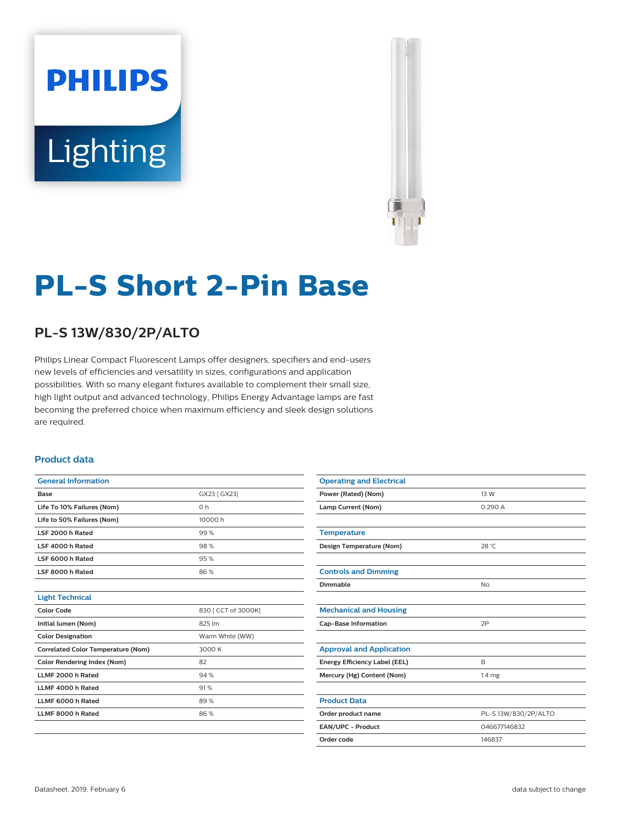# **PHILIPS** Lighting



## **PL-S Short 2-Pin Base**

### **PL-S 13W/830/2P/ALTO**

Philips Linear Compact Fluorescent Lamps offer designers, specifiers and end-users new levels of efficiencies and versatility in sizes, configurations and application possibilities. With so many elegant fixtures available to complement their small size, high light output and advanced technology, Philips Energy Advantage lamps are fast becoming the preferred choice when maximum efficiency and sleek design solutions are required.

#### **Product data**

| <b>General Information</b>                |                     |
|-------------------------------------------|---------------------|
| Base                                      | GX23 [ GX23]        |
| Life To 10% Failures (Nom)                | 0h                  |
| Life to 50% Failures (Nom)                | 10000 h             |
| LSF 2000 h Rated                          | 99%                 |
| LSF 4000 h Rated                          | 98%                 |
| LSF 6000 h Rated                          | 95%                 |
| LSF 8000 h Rated                          | 86%                 |
|                                           |                     |
| <b>Light Technical</b>                    |                     |
| <b>Color Code</b>                         | 830 [ CCT of 3000K] |
| Initial lumen (Nom)                       | 825 lm              |
| <b>Color Designation</b>                  | Warm White (WW)     |
| <b>Correlated Color Temperature (Nom)</b> | 3000 K              |
| <b>Color Rendering Index (Nom)</b>        | 82                  |
| LLMF 2000 h Rated                         | 94%                 |
| LLMF 4000 h Rated                         | 91%                 |
| LLMF 6000 h Rated                         | 89%                 |
| LLMF 8000 h Rated                         | 86%                 |
|                                           |                     |

| <b>Operating and Electrical</b> |                      |  |  |
|---------------------------------|----------------------|--|--|
| Power (Rated) (Nom)             | 13 W                 |  |  |
| Lamp Current (Nom)              | 0.290 A              |  |  |
|                                 |                      |  |  |
| <b>Temperature</b>              |                      |  |  |
| Design Temperature (Nom)        | 28 °C                |  |  |
|                                 |                      |  |  |
| <b>Controls and Dimming</b>     |                      |  |  |
| Dimmable                        | <b>No</b>            |  |  |
|                                 |                      |  |  |
| <b>Mechanical and Housing</b>   |                      |  |  |
| <b>Cap-Base Information</b>     | 2P                   |  |  |
|                                 |                      |  |  |
| <b>Approval and Application</b> |                      |  |  |
| Energy Efficiency Label (EEL)   | B                    |  |  |
| Mercury (Hg) Content (Nom)      | 1.4 <sub>mg</sub>    |  |  |
|                                 |                      |  |  |
| <b>Product Data</b>             |                      |  |  |
| Order product name              | PL-S 13W/830/2P/ALTO |  |  |
| EAN/UPC - Product               | 046677146832         |  |  |
| Order code                      | 146837               |  |  |
|                                 |                      |  |  |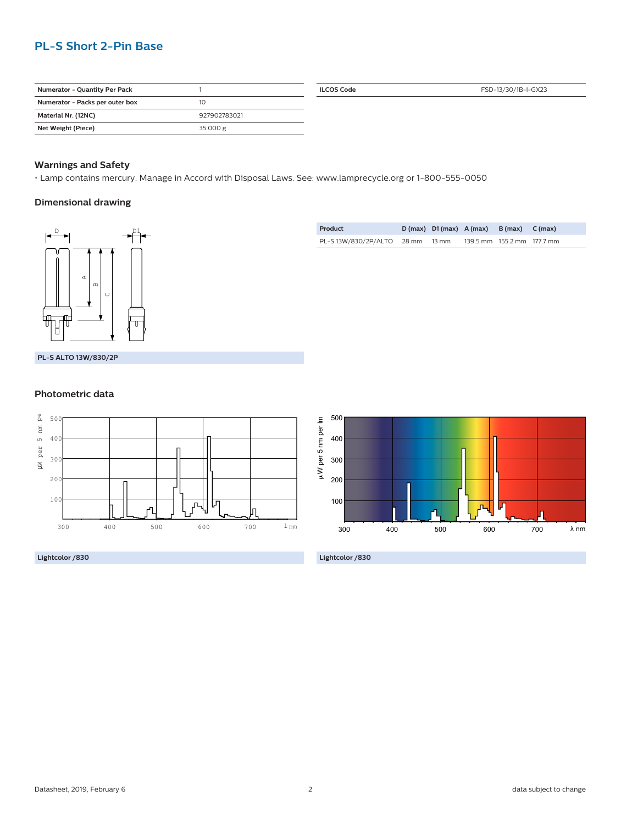#### **PL-S Short 2-Pin Base**

| <b>Numerator - Quantity Per Pack</b> |              |
|--------------------------------------|--------------|
| Numerator - Packs per outer box      | 10           |
| Material Nr. (12NC)                  | 927902783021 |
| Net Weight (Piece)                   | 35.000 g     |

**ILCOS Code** FSD-13/30/1B-I-GX23

#### **Warnings and Safety**

• Lamp contains mercury. Manage in Accord with Disposal Laws. See: www.lamprecycle.org or 1-800-555-0050

#### **Dimensional drawing**



| Product                          |  | $D(max)$ $D1(max)$ $A(max)$ $B(max)$ $C(max)$ |                            |  |
|----------------------------------|--|-----------------------------------------------|----------------------------|--|
| PL-S 13W/830/2P/ALTO 28 mm 13 mm |  |                                               | 139.5 mm 155.2 mm 177.7 mm |  |

**PL-S ALTO 13W/830/2P**

#### **Photometric data**



**Lightcolor /830**



**Lightcolor /830**